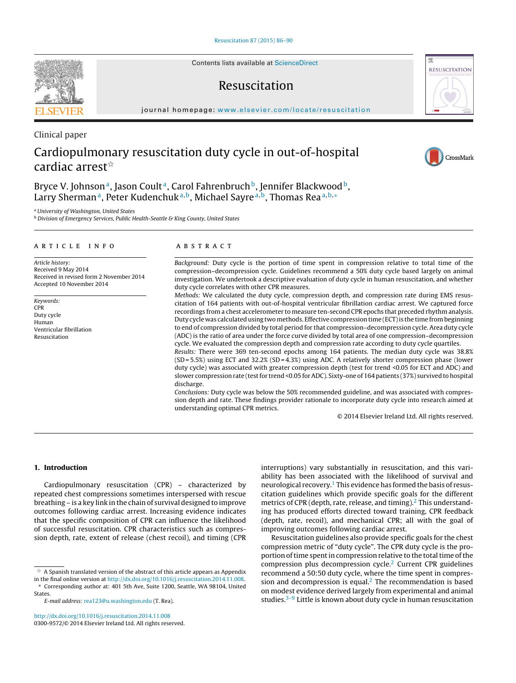Contents lists available at [ScienceDirect](http://www.sciencedirect.com/science/journal/03009572)

# Resuscitation

iournal homepage: [www.elsevier.com/locate/resuscitation](http://www.elsevier.com/locate/resuscitation)

# Cardiopulmonary resuscitation duty cycle in out-of-hospital cardiac arrest $^{\scriptscriptstyle\mathrm{st}}$

Bryce V. Johnson<sup>a</sup>, Jason Coult<sup>a</sup>, Carol Fahrenbruch<sup>b</sup>, Jennifer Blackwood<sup>b</sup>, Larry Sherman<sup>a</sup>, Peter Kudenchuk<sup>a,b</sup>, Michael Sayre<sup>a,b</sup>, Thomas Rea<sup>a,b,∗</sup>

<sup>a</sup> University of Washington, United States

**b Division of Emergency Services, Public Health-Seattle & King County, United States** 

#### a r t i c l e i n f o

Article history: Received 9 May 2014 Received in revised form 2 November 2014 Accepted 10 November 2014

Keywords: CPR Duty cycle Human Ventricular fibrillation Resuscitation

#### A B S T R A C T

Background: Duty cycle is the portion of time spent in compression relative to total time of the compression–decompression cycle. Guidelines recommend a 50% duty cycle based largely on animal investigation. We undertook a descriptive evaluation of duty cycle in human resuscitation, and whether duty cycle correlates with other CPR measures.

Methods: We calculated the duty cycle, compression depth, and compression rate during EMS resuscitation of 164 patients with out-of-hospital ventricular fibrillation cardiac arrest. We captured force recordings from a chest accelerometer to measure ten-second CPR epochs that preceded rhythm analysis. Duty cycle was calculated using two methods. Effective compression time (ECT) is the time from beginning to end of compression divided by total period for that compression–decompression cycle. Area duty cycle (ADC) is the ratio of area under the force curve divided by total area of one compression–decompression cycle. We evaluated the compression depth and compression rate according to duty cycle quartiles.

Results: There were 369 ten-second epochs among 164 patients. The median duty cycle was 38.8% (SD = 5.5%) using ECT and 32.2% (SD = 4.3%) using ADC. A relatively shorter compression phase (lower duty cycle) was associated with greater compression depth (test for trend <0.05 for ECT and ADC) and slower compression rate (test for trend <0.05 for ADC). Sixty-one of 164 patients (37%) survived to hospital discharge.

Conclusions: Duty cycle was below the 50% recommended guideline, and was associated with compression depth and rate. These findings provider rationale to incorporate duty cycle into research aimed at understanding optimal CPR metrics.

© 2014 Elsevier Ireland Ltd. All rights reserved.

## **1. Introduction**

Cardiopulmonary resuscitation (CPR) – characterized by repeated chest compressions sometimes interspersed with rescue breathing – is a key link in the chain of survival designed to improve outcomes following cardiac arrest. Increasing evidence indicates that the specific composition of CPR can influence the likelihood of successful resuscitation. CPR characteristics such as compression depth, rate, extent of release (chest recoil), and timing (CPR

∗ Corresponding author at: 401 5th Ave, Suite 1200, Seattle, WA 98104, United States.

E-mail address: [rea123@u.washington.edu](mailto:rea123@u.washington.edu) (T. Rea).

[http://dx.doi.org/10.1016/j.resuscitation.2014.11.008](dx.doi.org/10.1016/j.resuscitation.2014.11.008) 0300-9572/© 2014 Elsevier Ireland Ltd. All rights reserved.

interruptions) vary substantially in resuscitation, and this variability has been associated with the likelihood of survival and neurological recovery.<sup>1</sup> This evidence has formed the basis of resuscitation guidelines which provide specific goals for the different metrics of CPR (depth, rate, release, and timing). $<sup>2</sup>$  This understand-</sup> ing has produced efforts directed toward training, CPR feedback (depth, rate, recoil), and mechanical CPR; all with the goal of improving outcomes following cardiac arrest.

Resuscitation guidelines also provide specific goals for the chest compression metric of "duty cycle". The CPR duty cycle is the proportion of time spent in compression relative to the total time of the compression plus decompression cycle. $<sup>2</sup>$  Current CPR guidelines</sup> recommend a 50:50 duty cycle, where the time spent in compres-sion and decompression is equal.<sup>[2](#page-4-0)</sup> The recommendation is based on modest evidence derived largely from experimental and animal studies.<sup>3-9</sup> Little is known about duty cycle in human resuscitation





Clinical paper





 $\stackrel{\scriptscriptstyle{\times}}{\scriptscriptstyle{\times}}$  A Spanish translated version of the abstract of this article appears as Appendix in the final online version at [http://dx.doi.org/10.1016/j.resuscitation.2014.11.008.](http://dx.doi.org/10.1016/j.resuscitation.2014.11.008)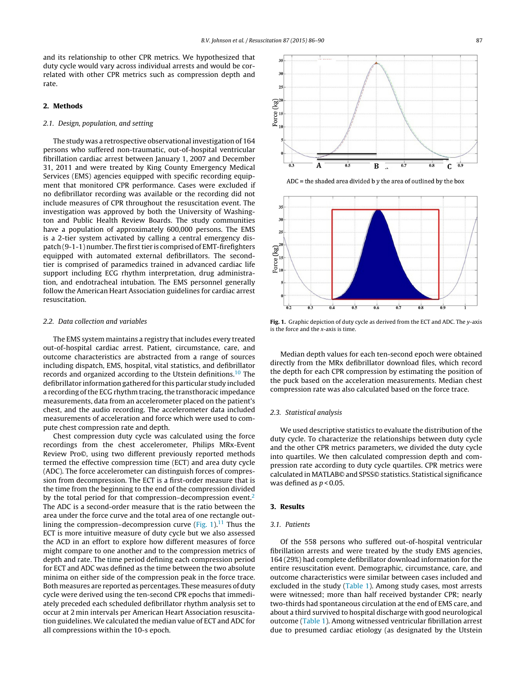and its relationship to other CPR metrics. We hypothesized that duty cycle would vary across individual arrests and would be correlated with other CPR metrics such as compression depth and rate.

# **2. Methods**

#### 2.1. Design, population, and setting

The study was a retrospective observational investigation of 164 persons who suffered non-traumatic, out-of-hospital ventricular fibrillation cardiac arrest between January 1, 2007 and December 31, 2011 and were treated by King County Emergency Medical Services (EMS) agencies equipped with specific recording equipment that monitored CPR performance. Cases were excluded if no defibrillator recording was available or the recording did not include measures of CPR throughout the resuscitation event. The investigation was approved by both the University of Washington and Public Health Review Boards. The study communities have a population of approximately 600,000 persons. The EMS is a 2-tier system activated by calling a central emergency dispatch (9-1-1) number. The first tier is comprised of EMT-firefighters equipped with automated external defibrillators. The secondtier is comprised of paramedics trained in advanced cardiac life support including ECG rhythm interpretation, drug administration, and endotracheal intubation. The EMS personnel generally follow the American Heart Association guidelines for cardiac arrest resuscitation.

#### 2.2. Data collection and variables

The EMS system maintains a registry that includes every treated out-of-hospital cardiac arrest. Patient, circumstance, care, and outcome characteristics are abstracted from a range of sources including dispatch, EMS, hospital, vital statistics, and defibrillator records and organized according to the Utstein definitions.<sup>[10](#page-4-0)</sup> The defibrillator information gathered for this particular study included a recording of the ECG rhythm tracing, the transthoracic impedance measurements, data from an accelerometer placed on the patient's chest, and the audio recording. The accelerometer data included measurements of acceleration and force which were used to compute chest compression rate and depth.

Chest compression duty cycle was calculated using the force recordings from the chest accelerometer, Philips MRx-Event Review Pro©, using two different previously reported methods termed the effective compression time (ECT) and area duty cycle (ADC). The force accelerometer can distinguish forces of compression from decompression. The ECT is a first-order measure that is the time from the beginning to the end of the compression divided by the total period for that compression–decompression event.<sup>2</sup> The ADC is a second-order measure that is the ratio between the area under the force curve and the total area of one rectangle outlining the compression–decompression curve  $(Fig. 1).<sup>11</sup>$  Thus the ECT is more intuitive measure of duty cycle but we also assessed the ACD in an effort to explore how different measures of force might compare to one another and to the compression metrics of depth and rate. The time period defining each compression period for ECT and ADC was defined as the time between the two absolute minima on either side of the compression peak in the force trace. Both measures are reported as percentages. These measures of duty cycle were derived using the ten-second CPR epochs that immediately preceded each scheduled defibrillator rhythm analysis set to occur at 2 min intervals per American Heart Association resuscitation guidelines. We calculated the median value of ECT and ADC for all compressions within the 10-s epoch.



 $ADC =$  the shaded area divided b y the area of outlined by the box



**Fig. 1.** Graphic depiction of duty cycle as derived from the ECT and ADC. The y-axis is the force and the x-axis is time.

Median depth values for each ten-second epoch were obtained directly from the MRx defibrillator download files, which record the depth for each CPR compression by estimating the position of the puck based on the acceleration measurements. Median chest compression rate was also calculated based on the force trace.

# 2.3. Statistical analysis

We used descriptive statistics to evaluate the distribution of the duty cycle. To characterize the relationships between duty cycle and the other CPR metrics parameters, we divided the duty cycle into quartiles. We then calculated compression depth and compression rate according to duty cycle quartiles. CPR metrics were calculated in MATLAB© and SPSS© statistics. Statistical significance was defined as  $p < 0.05$ .

# **3. Results**

#### 3.1. Patients

Of the 558 persons who suffered out-of-hospital ventricular fibrillation arrests and were treated by the study EMS agencies, 164 (29%) had complete defibrillator download information for the entire resuscitation event. Demographic, circumstance, care, and outcome characteristics were similar between cases included and excluded in the study ([Table](#page-2-0) 1). Among study cases, most arrests were witnessed; more than half received bystander CPR; nearly two-thirds had spontaneous circulation at the end of EMS care, and about a third survived to hospital discharge with good neurological outcome ([Table](#page-2-0) 1). Among witnessed ventricular fibrillation arrest due to presumed cardiac etiology (as designated by the Utstein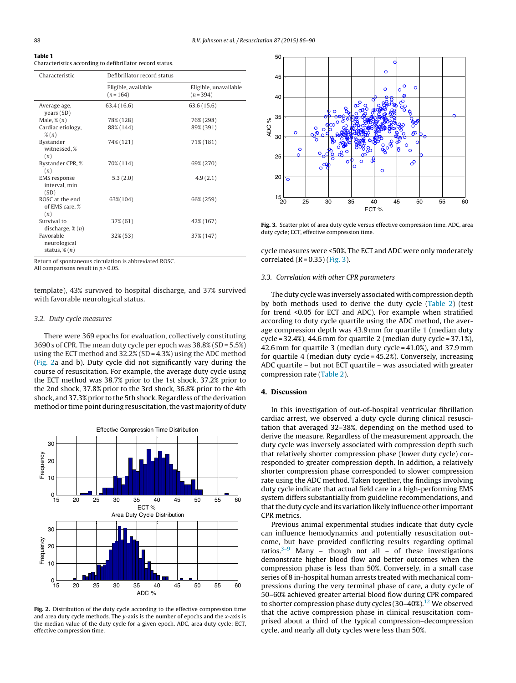#### <span id="page-2-0"></span>**Table 1** Characteristics according to defibrillator record status.

| Characteristic                                        | Defibrillator record status      |                                    |  |  |  |
|-------------------------------------------------------|----------------------------------|------------------------------------|--|--|--|
|                                                       | Eligible, available<br>$(n=164)$ | Eligible, unavailable<br>$(n=394)$ |  |  |  |
| Average age,<br>years (SD)                            | 63.4 (16.6)                      | 63.6(15.6)                         |  |  |  |
| Male, $\mathscr{L}(n)$                                | 78% (128)                        | 76% (298)                          |  |  |  |
| Cardiac etiology,<br>$\mathcal{K}(n)$                 | 88% (144)                        | 89% (391)                          |  |  |  |
| Bystander<br>witnessed, %<br>(n)                      | 74% (121)                        | 71% (181)                          |  |  |  |
| Bystander CPR, %<br>(n)                               | 70% (114)                        | 69% (270)                          |  |  |  |
| <b>EMS</b> response<br>interval, min<br>(SD)          | 5.3(2.0)                         | 4.9(2.1)                           |  |  |  |
| ROSC at the end<br>of EMS care, %<br>(n)              | 63%(104)                         | 66% (259)                          |  |  |  |
| Survival to<br>discharge, $\mathcal{E}(n)$            | 37% (61)                         | 42% (167)                          |  |  |  |
| Favorable<br>neurological<br>status, $\mathcal{E}(n)$ | 32% (53)                         | 37% (147)                          |  |  |  |

Return of spontaneous circulation is abbreviated ROSC. All comparisons result in  $p > 0.05$ .

template), 43% survived to hospital discharge, and 37% survived with favorable neurological status.

#### 3.2. Duty cycle measures

There were 369 epochs for evaluation, collectively constituting 3690 s of CPR. The mean duty cycle per epoch was 38.8% (SD = 5.5%) using the ECT method and 32.2% (SD = 4.3%) using the ADC method (Fig. 2a and b). Duty cycle did not significantly vary during the course of resuscitation. For example, the average duty cycle using the ECT method was 38.7% prior to the 1st shock, 37.2% prior to the 2nd shock, 37.8% prior to the 3rd shock, 36.8% prior to the 4th shock, and 37.3% prior to the 5th shock. Regardless of the derivation method or time point during resuscitation, the vast majority of duty



**Fig. 2.** Distribution of the duty cycle according to the effective compression time and area duty cycle methods. The y-axis is the number of epochs and the  $x$ -axis is the median value of the duty cycle for a given epoch. ADC, area duty cycle; ECT, effective compression time.



**Fig. 3.** Scatter plot of area duty cycle versus effective compression time. ADC, area duty cycle; ECT, effective compression time.

cycle measures were <50%. The ECT and ADC were only moderately correlated  $(R = 0.35)$  (Fig. 3).

#### 3.3. Correlation with other CPR parameters

The duty cycle was inversely associated with compression depth by both methods used to derive the duty cycle [\(Table](#page-3-0) 2) (test for trend <0.05 for ECT and ADC). For example when stratified according to duty cycle quartile using the ADC method, the average compression depth was 43.9 mm for quartile 1 (median duty cycle = 32.4%), 44.6 mm for quartile 2 (median duty cycle = 37.1%), 42.6 mm for quartile 3 (median duty cycle = 41.0%), and 37.9 mm for quartile 4 (median duty cycle = 45.2%). Conversely, increasing ADC quartile – but not ECT quartile – was associated with greater compression rate [\(Table](#page-3-0) 2).

#### **4. Discussion**

In this investigation of out-of-hospital ventricular fibrillation cardiac arrest, we observed a duty cycle during clinical resuscitation that averaged 32–38%, depending on the method used to derive the measure. Regardless of the measurement approach, the duty cycle was inversely associated with compression depth such that relatively shorter compression phase (lower duty cycle) corresponded to greater compression depth. In addition, a relatively shorter compression phase corresponded to slower compression rate using the ADC method. Taken together, the findings involving duty cycle indicate that actual field care in a high-performing EMS system differs substantially from guideline recommendations, and that the duty cycle and its variation likely influence other important CPR metrics.

Previous animal experimental studies indicate that duty cycle can influence hemodynamics and potentially resuscitation outcome, but have provided conflicting results regarding optimal ratios.<sup>3–9</sup> Many – though not all – of these investigations demonstrate higher blood flow and better outcomes when the compression phase is less than 50%. Conversely, in a small case series of 8 in-hospital human arrests treated with mechanical compressions during the very terminal phase of care, a duty cycle of 50–60% achieved greater arterial blood flow during CPR compared to shorter compression phase duty cycles (30-40%).<sup>[12](#page-4-0)</sup> We observed that the active compression phase in clinical resuscitation comprised about a third of the typical compression–decompression cycle, and nearly all duty cycles were less than 50%.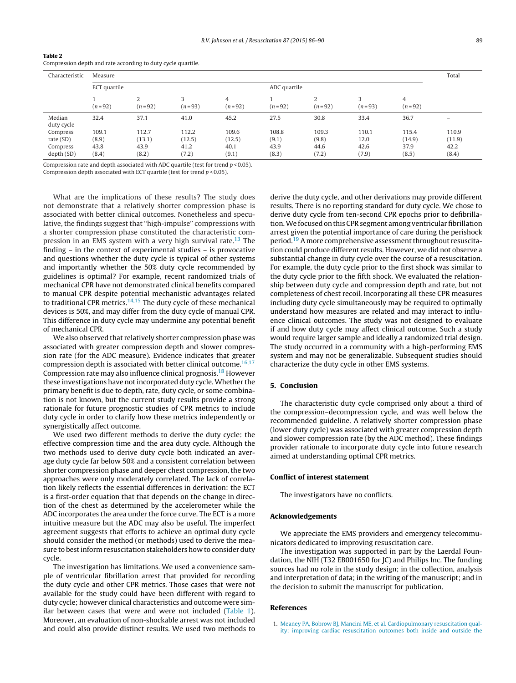| Characteristic       | Measure      |                      |               |                 |            |                            |               |               |        |
|----------------------|--------------|----------------------|---------------|-----------------|------------|----------------------------|---------------|---------------|--------|
|                      | ECT quartile |                      |               | ADC quartile    |            |                            |               |               |        |
|                      | $(n=92)$     | $\Omega$<br>$(n=92)$ | κ<br>$(n=93)$ | 4<br>$(n = 92)$ | $(n = 92)$ | $\overline{2}$<br>$(n=92)$ | 3<br>$(n=93)$ | 4<br>$(n=92)$ |        |
| Median<br>duty cycle | 32.4         | 37.1                 | 41.0          | 45.2            | 27.5       | 30.8                       | 33.4          | 36.7          | -      |
| Compress             | 109.1        | 112.7                | 112.2         | 109.6           | 108.8      | 109.3                      | 110.1         | 115.4         | 110.9  |
| rate (SD)            | (8.9)        | (13.1)               | (12.5)        | (12.5)          | (9.1)      | (9.8)                      | 12.0          | (14.9)        | (11.9) |
| Compress             | 43.8         | 43.9                 | 41.2          | 40.1            | 43.9       | 44.6                       | 42.6          | 37.9          | 42.2   |
| depth(SD)            | (8.4)        | (8.2)                | (7.2)         | (9.1)           | (8.3)      | (7.2)                      | (7.9)         | (8.5)         | (8.4)  |

<span id="page-3-0"></span>**Table 2** Compression depth and rate according to duty cycle quartile.

Compression rate and depth associated with ADC quartile (test for trend  $p < 0.05$ ). Compression depth associated with ECT quartile (test for trend  $p < 0.05$ ).

What are the implications of these results? The study does not demonstrate that a relatively shorter compression phase is associated with better clinical outcomes. Nonetheless and speculative, the findings suggest that "high-impulse" compressions with a shorter compression phase constituted the characteristic compression in an EMS system with a very high survival rate.[13](#page-4-0) The finding – in the context of experimental studies – is provocative and questions whether the duty cycle is typical of other systems and importantly whether the 50% duty cycle recommended by guidelines is optimal? For example, recent randomized trials of mechanical CPR have not demonstrated clinical benefits compared to manual CPR despite potential mechanistic advantages related to traditional CPR metrics.<sup>[14,15](#page-4-0)</sup> The duty cycle of these mechanical devices is 50%, and may differ from the duty cycle of manual CPR. This difference in duty cycle may undermine any potential benefit of mechanical CPR.

We also observed that relatively shorter compression phase was associated with greater compression depth and slower compression rate (for the ADC measure). Evidence indicates that greater compression depth is associated with better clinical outcome.<sup>[16,17](#page-4-0)</sup> Compression rate may also influence clinical prognosis[.18](#page-4-0) However these investigations have not incorporated duty cycle. Whether the primary benefit is due to depth, rate, duty cycle, or some combination is not known, but the current study results provide a strong rationale for future prognostic studies of CPR metrics to include duty cycle in order to clarify how these metrics independently or synergistically affect outcome.

We used two different methods to derive the duty cycle: the effective compression time and the area duty cycle. Although the two methods used to derive duty cycle both indicated an average duty cycle far below 50% and a consistent correlation between shorter compression phase and deeper chest compression, the two approaches were only moderately correlated. The lack of correlation likely reflects the essential differences in derivation: the ECT is a first-order equation that that depends on the change in direction of the chest as determined by the accelerometer while the ADC incorporates the area under the force curve. The ECT is a more intuitive measure but the ADC may also be useful. The imperfect agreement suggests that efforts to achieve an optimal duty cycle should consider the method (or methods) used to derive the measure to bestinform resuscitation stakeholders how to consider duty cycle.

The investigation has limitations. We used a convenience sample of ventricular fibrillation arrest that provided for recording the duty cycle and other CPR metrics. Those cases that were not available for the study could have been different with regard to duty cycle; however clinical characteristics and outcome were similar between cases that were and were not included [\(Table](#page-2-0) 1). Moreover, an evaluation of non-shockable arrest was not included and could also provide distinct results. We used two methods to

derive the duty cycle, and other derivations may provide different results. There is no reporting standard for duty cycle. We chose to derive duty cycle from ten-second CPR epochs prior to defibrillation.We focused on this CPR segment among ventricular fibrillation arrest given the potential importance of care during the perishock period.<sup>19</sup> A more comprehensive assessment throughout resuscitation could produce different results. However, we did not observe a substantial change in duty cycle over the course of a resuscitation. For example, the duty cycle prior to the first shock was similar to the duty cycle prior to the fifth shock. We evaluated the relationship between duty cycle and compression depth and rate, but not completeness of chest recoil. Incorporating all these CPR measures including duty cycle simultaneously may be required to optimally understand how measures are related and may interact to influence clinical outcomes. The study was not designed to evaluate if and how duty cycle may affect clinical outcome. Such a study would require larger sample and ideally a randomized trial design. The study occurred in a community with a high-performing EMS system and may not be generalizable. Subsequent studies should characterize the duty cycle in other EMS systems.

# **5. Conclusion**

The characteristic duty cycle comprised only about a third of the compression–decompression cycle, and was well below the recommended guideline. A relatively shorter compression phase (lower duty cycle) was associated with greater compression depth and slower compression rate (by the ADC method). These findings provider rationale to incorporate duty cycle into future research aimed at understanding optimal CPR metrics.

#### **Conflict of interest statement**

The investigators have no conflicts.

#### **Acknowledgements**

We appreciate the EMS providers and emergency telecommunicators dedicated to improving resuscitation care.

The investigation was supported in part by the Laerdal Foundation, the NIH (T32 EB001650 for JC) and Philips Inc. The funding sources had no role in the study design; in the collection, analysis and interpretation of data; in the writing of the manuscript; and in the decision to submit the manuscript for publication.

#### **References**

1. [Meaney](http://refhub.elsevier.com/S0300-9572(14)00828-4/sbref0005) [PA,](http://refhub.elsevier.com/S0300-9572(14)00828-4/sbref0005) [Bobrow](http://refhub.elsevier.com/S0300-9572(14)00828-4/sbref0005) [BJ,](http://refhub.elsevier.com/S0300-9572(14)00828-4/sbref0005) [Mancini](http://refhub.elsevier.com/S0300-9572(14)00828-4/sbref0005) [ME,](http://refhub.elsevier.com/S0300-9572(14)00828-4/sbref0005) [et](http://refhub.elsevier.com/S0300-9572(14)00828-4/sbref0005) [al.](http://refhub.elsevier.com/S0300-9572(14)00828-4/sbref0005) [Cardiopulmonary](http://refhub.elsevier.com/S0300-9572(14)00828-4/sbref0005) [resuscitation](http://refhub.elsevier.com/S0300-9572(14)00828-4/sbref0005) [qual](http://refhub.elsevier.com/S0300-9572(14)00828-4/sbref0005)[ity:](http://refhub.elsevier.com/S0300-9572(14)00828-4/sbref0005) [improving](http://refhub.elsevier.com/S0300-9572(14)00828-4/sbref0005) [cardiac](http://refhub.elsevier.com/S0300-9572(14)00828-4/sbref0005) [resuscitation](http://refhub.elsevier.com/S0300-9572(14)00828-4/sbref0005) [outcomes](http://refhub.elsevier.com/S0300-9572(14)00828-4/sbref0005) [both](http://refhub.elsevier.com/S0300-9572(14)00828-4/sbref0005) [inside](http://refhub.elsevier.com/S0300-9572(14)00828-4/sbref0005) [and](http://refhub.elsevier.com/S0300-9572(14)00828-4/sbref0005) [outside](http://refhub.elsevier.com/S0300-9572(14)00828-4/sbref0005) [the](http://refhub.elsevier.com/S0300-9572(14)00828-4/sbref0005)